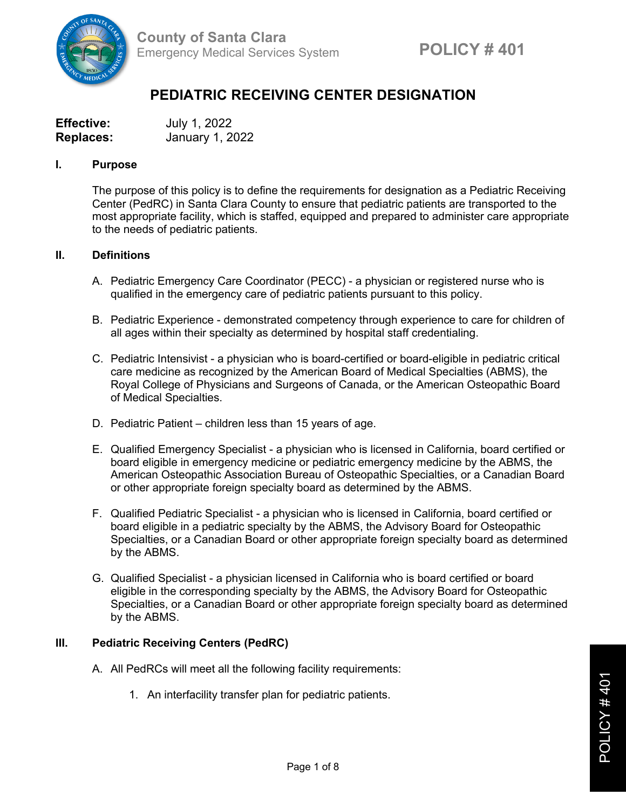

# **PEDIATRIC RECEIVING CENTER DESIGNATION**

| <b>Effective:</b> | July 1, 2022    |
|-------------------|-----------------|
| <b>Replaces:</b>  | January 1, 2022 |

#### **I. Purpose**

The purpose of this policy is to define the requirements for designation as a Pediatric Receiving Center (PedRC) in Santa Clara County to ensure that pediatric patients are transported to the most appropriate facility, which is staffed, equipped and prepared to administer care appropriate to the needs of pediatric patients.

## **II. Definitions**

- A. Pediatric Emergency Care Coordinator (PECC) a physician or registered nurse who is qualified in the emergency care of pediatric patients pursuant to this policy.
- B. Pediatric Experience demonstrated competency through experience to care for children of all ages within their specialty as determined by hospital staff credentialing.
- C. Pediatric Intensivist a physician who is board-certified or board-eligible in pediatric critical care medicine as recognized by the American Board of Medical Specialties (ABMS), the Royal College of Physicians and Surgeons of Canada, or the American Osteopathic Board of Medical Specialties.
- D. Pediatric Patient children less than 15 years of age.
- E. Qualified Emergency Specialist a physician who is licensed in California, board certified or board eligible in emergency medicine or pediatric emergency medicine by the ABMS, the American Osteopathic Association Bureau of Osteopathic Specialties, or a Canadian Board or other appropriate foreign specialty board as determined by the ABMS.
- F. Qualified Pediatric Specialist a physician who is licensed in California, board certified or board eligible in a pediatric specialty by the ABMS, the Advisory Board for Osteopathic Specialties, or a Canadian Board or other appropriate foreign specialty board as determined by the ABMS.
- G. Qualified Specialist a physician licensed in California who is board certified or board eligible in the corresponding specialty by the ABMS, the Advisory Board for Osteopathic Specialties, or a Canadian Board or other appropriate foreign specialty board as determined by the ABMS.

## **III. Pediatric Receiving Centers (PedRC)**

- A. All PedRCs will meet all the following facility requirements:
	- 1. An interfacility transfer plan for pediatric patients.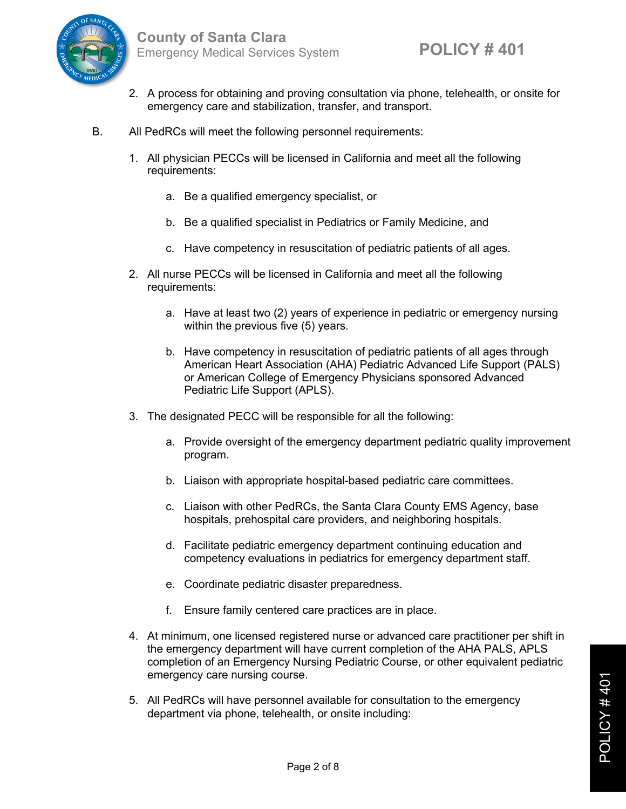

- 2. A process for obtaining and proving consultation via phone, telehealth, or onsite for emergency care and stabilization, transfer, and transport.
- B. All PedRCs will meet the following personnel requirements:
	- 1. All physician PECCs will be licensed in California and meet all the following requirements:
		- a. Be a qualified emergency specialist, or
		- b. Be a qualified specialist in Pediatrics or Family Medicine, and
		- c. Have competency in resuscitation of pediatric patients of all ages.
	- 2. All nurse PECCs will be licensed in California and meet all the following requirements:
		- a. Have at least two (2) years of experience in pediatric or emergency nursing within the previous five (5) years.
		- b. Have competency in resuscitation of pediatric patients of all ages through American Heart Association (AHA) Pediatric Advanced Life Support (PALS) or American College of Emergency Physicians sponsored Advanced Pediatric Life Support (APLS).
	- 3. The designated PECC will be responsible for all the following:
		- a. Provide oversight of the emergency department pediatric quality improvement program.
		- b. Liaison with appropriate hospital-based pediatric care committees.
		- c. Liaison with other PedRCs, the Santa Clara County EMS Agency, base hospitals, prehospital care providers, and neighboring hospitals.
		- d. Facilitate pediatric emergency department continuing education and competency evaluations in pediatrics for emergency department staff.
		- e. Coordinate pediatric disaster preparedness.
		- f. Ensure family centered care practices are in place.
	- 4. At minimum, one licensed registered nurse or advanced care practitioner per shift in the emergency department will have current completion of the AHA PALS, APLS completion of an Emergency Nursing Pediatric Course, or other equivalent pediatric emergency care nursing course.
	- 5. All PedRCs will have personnel available for consultation to the emergency department via phone, telehealth, or onsite including: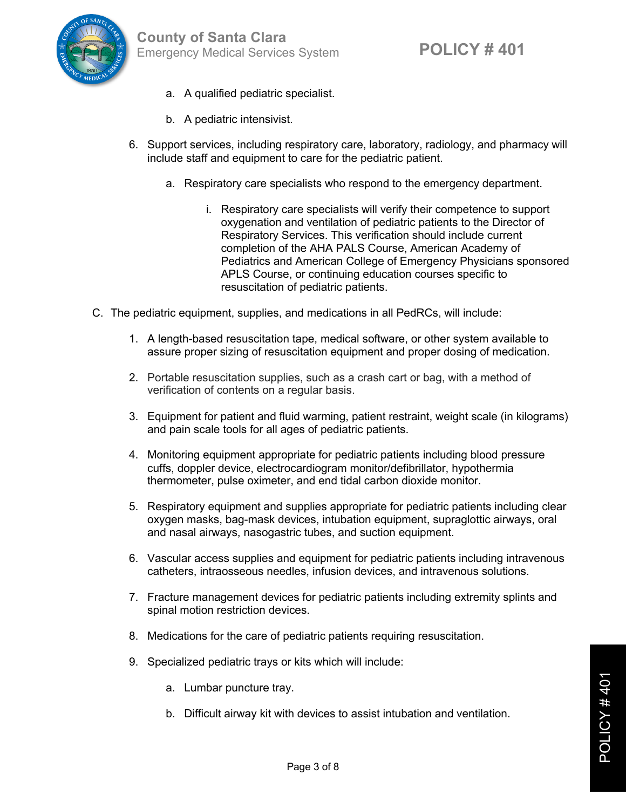- a. A qualified pediatric specialist.
- b. A pediatric intensivist.
- 6. Support services, including respiratory care, laboratory, radiology, and pharmacy will include staff and equipment to care for the pediatric patient.
	- a. Respiratory care specialists who respond to the emergency department.
		- i. Respiratory care specialists will verify their competence to support oxygenation and ventilation of pediatric patients to the Director of Respiratory Services. This verification should include current completion of the AHA PALS Course, American Academy of Pediatrics and American College of Emergency Physicians sponsored APLS Course, or continuing education courses specific to resuscitation of pediatric patients.
- C. The pediatric equipment, supplies, and medications in all PedRCs, will include:
	- 1. A length-based resuscitation tape, medical software, or other system available to assure proper sizing of resuscitation equipment and proper dosing of medication.
	- 2. Portable resuscitation supplies, such as a crash cart or bag, with a method of verification of contents on a regular basis.
	- 3. Equipment for patient and fluid warming, patient restraint, weight scale (in kilograms) and pain scale tools for all ages of pediatric patients.
	- 4. Monitoring equipment appropriate for pediatric patients including blood pressure cuffs, doppler device, electrocardiogram monitor/defibrillator, hypothermia thermometer, pulse oximeter, and end tidal carbon dioxide monitor.
	- 5. Respiratory equipment and supplies appropriate for pediatric patients including clear oxygen masks, bag-mask devices, intubation equipment, supraglottic airways, oral and nasal airways, nasogastric tubes, and suction equipment.
	- 6. Vascular access supplies and equipment for pediatric patients including intravenous catheters, intraosseous needles, infusion devices, and intravenous solutions.
	- 7. Fracture management devices for pediatric patients including extremity splints and spinal motion restriction devices.
	- 8. Medications for the care of pediatric patients requiring resuscitation.
	- 9. Specialized pediatric trays or kits which will include:
		- a. Lumbar puncture tray.
		- b. Difficult airway kit with devices to assist intubation and ventilation.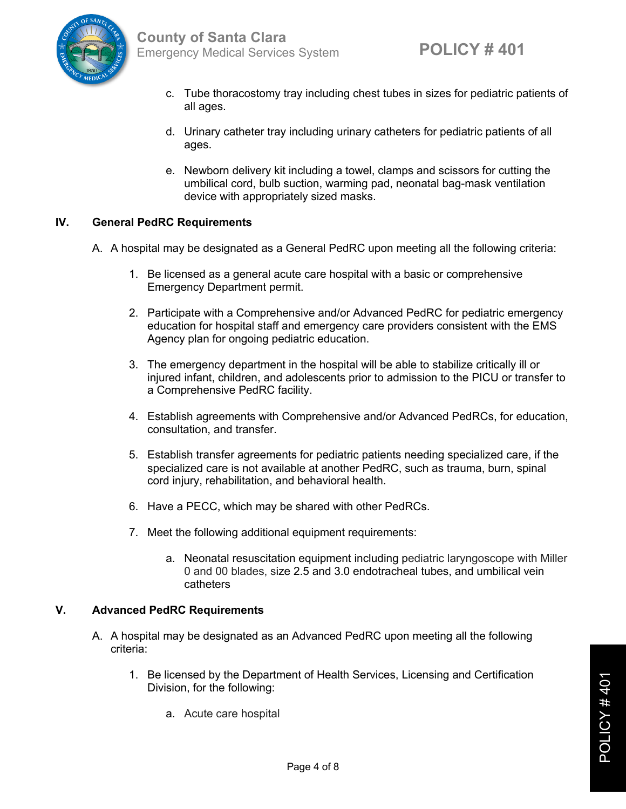

- c. Tube thoracostomy tray including chest tubes in sizes for pediatric patients of all ages.
- d. Urinary catheter tray including urinary catheters for pediatric patients of all ages.
- e. Newborn delivery kit including a towel, clamps and scissors for cutting the umbilical cord, bulb suction, warming pad, neonatal bag-mask ventilation device with appropriately sized masks.

## **IV. General PedRC Requirements**

- A. A hospital may be designated as a General PedRC upon meeting all the following criteria:
	- 1. Be licensed as a general acute care hospital with a basic or comprehensive Emergency Department permit.
	- 2. Participate with a Comprehensive and/or Advanced PedRC for pediatric emergency education for hospital staff and emergency care providers consistent with the EMS Agency plan for ongoing pediatric education.
	- 3. The emergency department in the hospital will be able to stabilize critically ill or injured infant, children, and adolescents prior to admission to the PICU or transfer to a Comprehensive PedRC facility.
	- 4. Establish agreements with Comprehensive and/or Advanced PedRCs, for education, consultation, and transfer.
	- 5. Establish transfer agreements for pediatric patients needing specialized care, if the specialized care is not available at another PedRC, such as trauma, burn, spinal cord injury, rehabilitation, and behavioral health.
	- 6. Have a PECC, which may be shared with other PedRCs.
	- 7. Meet the following additional equipment requirements:
		- a. Neonatal resuscitation equipment including pediatric laryngoscope with Miller 0 and 00 blades, size 2.5 and 3.0 endotracheal tubes, and umbilical vein catheters

## **V. Advanced PedRC Requirements**

- A. A hospital may be designated as an Advanced PedRC upon meeting all the following criteria:
	- 1. Be licensed by the Department of Health Services, Licensing and Certification Division, for the following:
		- a. Acute care hospital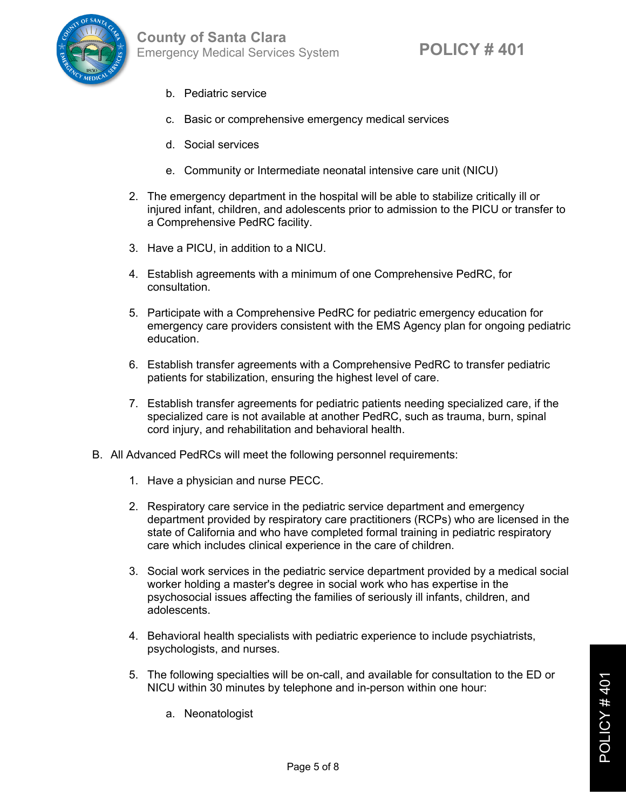



- b. Pediatric service
- c. Basic or comprehensive emergency medical services
- d. Social services
- e. Community or Intermediate neonatal intensive care unit (NICU)
- 2. The emergency department in the hospital will be able to stabilize critically ill or injured infant, children, and adolescents prior to admission to the PICU or transfer to a Comprehensive PedRC facility.
- 3. Have a PICU, in addition to a NICU.
- 4. Establish agreements with a minimum of one Comprehensive PedRC, for consultation.
- 5. Participate with a Comprehensive PedRC for pediatric emergency education for emergency care providers consistent with the EMS Agency plan for ongoing pediatric education.
- 6. Establish transfer agreements with a Comprehensive PedRC to transfer pediatric patients for stabilization, ensuring the highest level of care.
- 7. Establish transfer agreements for pediatric patients needing specialized care, if the specialized care is not available at another PedRC, such as trauma, burn, spinal cord injury, and rehabilitation and behavioral health.
- B. All Advanced PedRCs will meet the following personnel requirements:
	- 1. Have a physician and nurse PECC.
	- 2. Respiratory care service in the pediatric service department and emergency department provided by respiratory care practitioners (RCPs) who are licensed in the state of California and who have completed formal training in pediatric respiratory care which includes clinical experience in the care of children.
	- 3. Social work services in the pediatric service department provided by a medical social worker holding a master's degree in social work who has expertise in the psychosocial issues affecting the families of seriously ill infants, children, and adolescents.
	- 4. Behavioral health specialists with pediatric experience to include psychiatrists, psychologists, and nurses.
	- 5. The following specialties will be on-call, and available for consultation to the ED or NICU within 30 minutes by telephone and in-person within one hour:
		- a. Neonatologist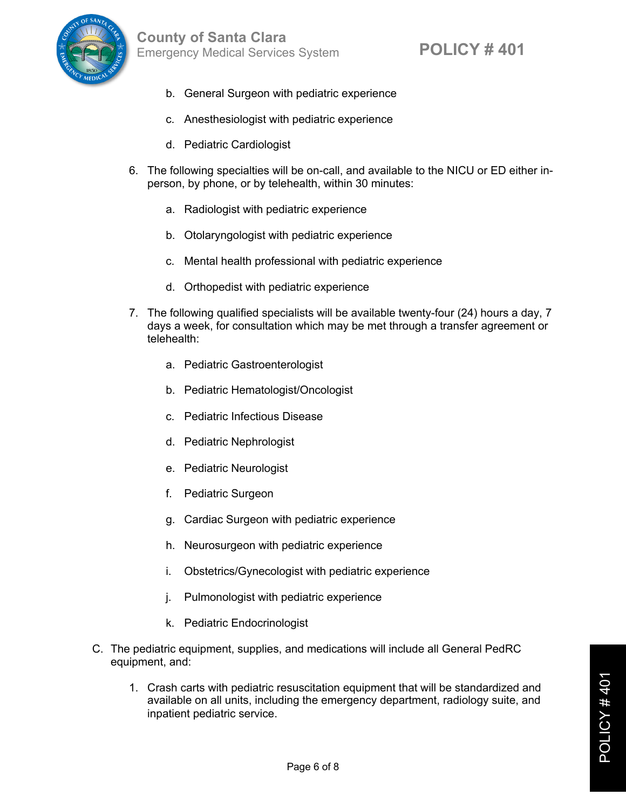- b. General Surgeon with pediatric experience
- c. Anesthesiologist with pediatric experience
- d. Pediatric Cardiologist
- 6. The following specialties will be on-call, and available to the NICU or ED either inperson, by phone, or by telehealth, within 30 minutes:
	- a. Radiologist with pediatric experience
	- b. Otolaryngologist with pediatric experience
	- c. Mental health professional with pediatric experience
	- d. Orthopedist with pediatric experience
- 7. The following qualified specialists will be available twenty-four (24) hours a day, 7 days a week, for consultation which may be met through a transfer agreement or telehealth:
	- a. Pediatric Gastroenterologist
	- b. Pediatric Hematologist/Oncologist
	- c. Pediatric Infectious Disease
	- d. Pediatric Nephrologist
	- e. Pediatric Neurologist
	- f. Pediatric Surgeon
	- g. Cardiac Surgeon with pediatric experience
	- h. Neurosurgeon with pediatric experience
	- i. Obstetrics/Gynecologist with pediatric experience
	- j. Pulmonologist with pediatric experience
	- k. Pediatric Endocrinologist
- C. The pediatric equipment, supplies, and medications will include all General PedRC equipment, and:
	- 1. Crash carts with pediatric resuscitation equipment that will be standardized and available on all units, including the emergency department, radiology suite, and inpatient pediatric service.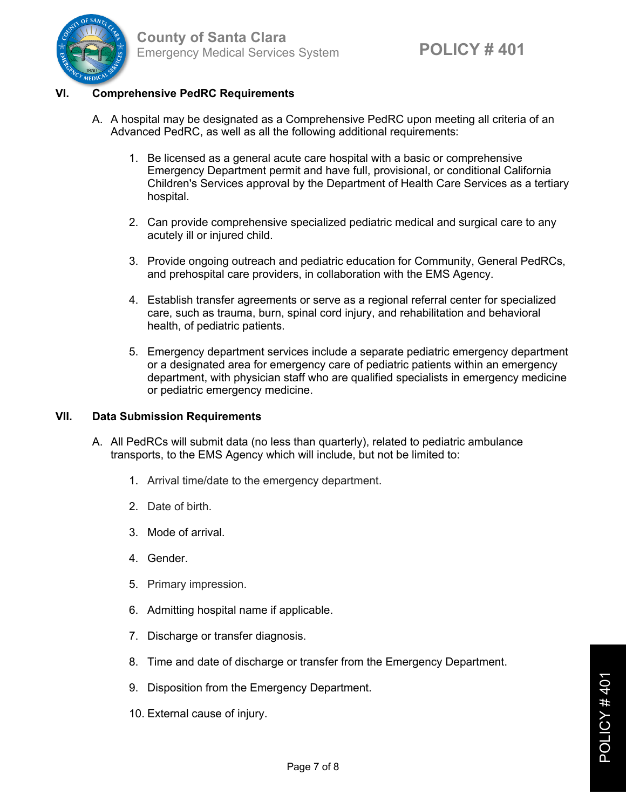

## **VI. Comprehensive PedRC Requirements**

- A. A hospital may be designated as a Comprehensive PedRC upon meeting all criteria of an Advanced PedRC, as well as all the following additional requirements:
	- 1. Be licensed as a general acute care hospital with a basic or comprehensive Emergency Department permit and have full, provisional, or conditional California Children's Services approval by the Department of Health Care Services as a tertiary hospital.
	- 2. Can provide comprehensive specialized pediatric medical and surgical care to any acutely ill or injured child.
	- 3. Provide ongoing outreach and pediatric education for Community, General PedRCs, and prehospital care providers, in collaboration with the EMS Agency.
	- 4. Establish transfer agreements or serve as a regional referral center for specialized care, such as trauma, burn, spinal cord injury, and rehabilitation and behavioral health, of pediatric patients.
	- 5. Emergency department services include a separate pediatric emergency department or a designated area for emergency care of pediatric patients within an emergency department, with physician staff who are qualified specialists in emergency medicine or pediatric emergency medicine.

## **VII. Data Submission Requirements**

- A. All PedRCs will submit data (no less than quarterly), related to pediatric ambulance transports, to the EMS Agency which will include, but not be limited to:
	- 1. Arrival time/date to the emergency department.
	- 2. Date of birth.
	- 3. Mode of arrival.
	- 4. Gender.
	- 5. Primary impression.
	- 6. Admitting hospital name if applicable.
	- 7. Discharge or transfer diagnosis.
	- 8. Time and date of discharge or transfer from the Emergency Department.
	- 9. Disposition from the Emergency Department.
	- 10. External cause of injury.